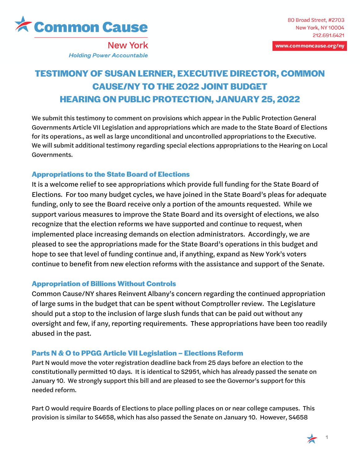

www.commoncause.org/ny

**New York Holding Power Accountable** 

# **TESTIMONY OF SUSAN LERNER, EXECUTIVE DIRECTOR, COMMON CAUSE/NY TO THE 2022 JOINT BUDGET HEARING ON PUBLIC PROTECTION, JANUARY 25, 2022**

We submit this testimony to comment on provisions which appear in the Public Protection General Governments Article VII Legislation and appropriations which are made to the State Board of Elections for its operations., as well as large unconditional and uncontrolled appropriations to the Executive. We will submit additional testimony regarding special elections appropriations to the Hearing on Local Governments.

## **Appropriations to the State Board of Elections**

It is a welcome relief to see appropriations which provide full funding for the State Board of Elections. For too many budget cycles, we have joined in the State Board's pleas for adequate funding, only to see the Board receive only a portion of the amounts requested. While we support various measures to improve the State Board and its oversight of elections, we also recognize that the election reforms we have supported and continue to request, when implemented place increasing demands on election administrators. Accordingly, we are pleased to see the appropriations made for the State Board's operations in this budget and hope to see that level of funding continue and, if anything, expand as New York's voters continue to benefit from new election reforms with the assistance and support of the Senate.

### **Appropriation of Billions Without Controls**

Common Cause/NY shares Reinvent Albany's concern regarding the continued appropriation of large sums in the budget that can be spent without Comptroller review. The Legislature should put a stop to the inclusion of large slush funds that can be paid out without any oversight and few, if any, reporting requirements. These appropriations have been too readily abused in the past.

## **Parts N & O to PPGG Article VII Legislation – Elections Reform**

Part N would move the voter registration deadline back from 25 days before an election to the constitutionally permitted 10 days. It is identical to S2951, which has already passed the senate on January 10. We strongly support this bill and are pleased to see the Governor's support for this needed reform.

Part O would require Boards of Elections to place polling places on or near college campuses. This provision is similar to S4658, which has also passed the Senate on January 10. However, S4658

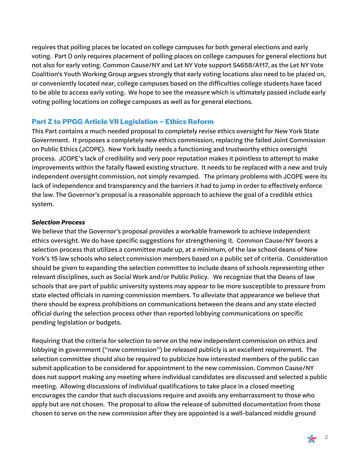requires that polling places be located on college campuses for both general elections and early voting. Part O only requires placement of polling places on college campuses for general elections but not also for early voting. Common Cause/NY and Let NY Vote support S4658/A117, as the Let NY Vote Coalition's Youth Working Group argues strongly that early voting locations also need to be placed on, or conveniently located near, college campuses based on the difficulties college students have faced to be able to access early voting. We hope to see the measure which is ultimately passed include early voting polling locations on college campuses as well as for general elections.

#### **Part Z to PPGG Article VII Legislation – Ethics Reform**

This Part contains a much needed proposal to completely revise ethics oversight for New York State Government. It proposes a completely new ethics commission, replacing the failed Joint Commission on Public Ethics (JCOPE). New York badly needs a functioning and trustworthy ethics oversight process. JCOPE's lack of credibility and very poor reputation makes it pointless to attempt to make improvements within the fatally flawed existing structure. It needs to be replaced with a new and truly independent oversight commission, not simply revamped. The primary problems with JCOPE were its lack of independence and transparency and the barriers it had to jump in order to effectively enforce the law. The Governor's proposal is a reasonable approach to achieve the goal of a credible ethics system.

#### *Selection Process*

We believe that the Governor's proposal provides a workable framework to achieve independent ethics oversight. We do have specific suggestions for strengthening it. Common Cause/NY favors a selection process that utilizes a committee made up, at a minimum, of the law school deans of New York's 15 law schools who select commission members based on a public set of criteria. Consideration should be given to expanding the selection committee to include deans of schools representing other relevant disciplines, such as Social Work and/or Public Policy. We recognize that the Deans of law schools that are part of public university systems may appear to be more susceptible to pressure from state elected officials in naming commission members. To alleviate that appearance we believe that there should be express prohibitions on communications between the deans and any state elected official during the selection process other than reported lobbying communications on specific pending legislation or budgets.

Requiring that the criteria for selection to serve on the new independent commission on ethics and lobbying in government ("new commission") be released publicly is an excellent requirement. The selection committee should also be required to publicize how interested members of the public can submit application to be considered for appointment to the new commission. Common Cause/NY does not support making any meeting where individual candidates are discussed and selected a public meeting. Allowing discussions of individual qualifications to take place in a closed meeting encourages the candor that such discussions require and avoids any embarrassment to those who apply but are not chosen. The proposal to allow the release of submitted documentation from those chosen to serve on the new commission after they are appointed is a well-balanced middle ground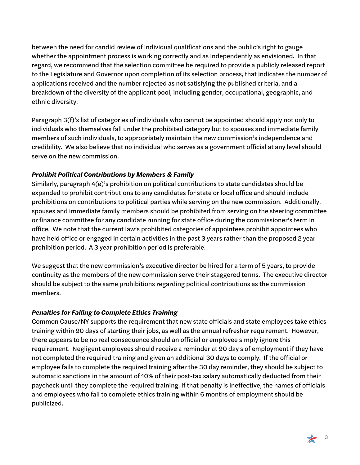between the need for candid review of individual qualifications and the public's right to gauge whether the appointment process is working correctly and as independently as envisioned. In that regard, we recommend that the selection committee be required to provide a publicly released report to the Legislature and Governor upon completion of its selection process, that indicates the number of applications received and the number rejected as not satisfying the published criteria, and a breakdown of the diversity of the applicant pool, including gender, occupational, geographic, and ethnic diversity.

Paragraph 3(f)'s list of categories of individuals who cannot be appointed should apply not only to individuals who themselves fall under the prohibited category but to spouses and immediate family members of such individuals, to appropriately maintain the new commission's independence and credibility. We also believe that no individual who serves as a government official at any level should serve on the new commission.

#### *Prohibit Political Contributions by Members & Family*

Similarly, paragraph 4(e)'s prohibition on political contributions to state candidates should be expanded to prohibit contributions to any candidates for state or local office and should include prohibitions on contributions to political parties while serving on the new commission. Additionally, spouses and immediate family members should be prohibited from serving on the steering committee or finance committee for any candidate running for state office during the commissioner's term in office. We note that the current law's prohibited categories of appointees prohibit appointees who have held office or engaged in certain activities in the past 3 years rather than the proposed 2 year prohibition period. A 3 year prohibition period is preferable.

We suggest that the new commission's executive director be hired for a term of 5 years, to provide continuity as the members of the new commission serve their staggered terms. The executive director should be subject to the same prohibitions regarding political contributions as the commission members.

### *Penalties for Failing to Complete Ethics Training*

Common Cause/NY supports the requirement that new state officials and state employees take ethics training within 90 days of starting their jobs, as well as the annual refresher requirement. However, there appears to be no real consequence should an official or employee simply ignore this requirement. Negligent employees should receive a reminder at 90 day s of employment if they have not completed the required training and given an additional 30 days to comply. If the official or employee fails to complete the required training after the 30 day reminder, they should be subject to automatic sanctions in the amount of 10% of their post-tax salary automatically deducted from their paycheck until they complete the required training. If that penalty is ineffective, the names of officials and employees who fail to complete ethics training within 6 months of employment should be publicized.